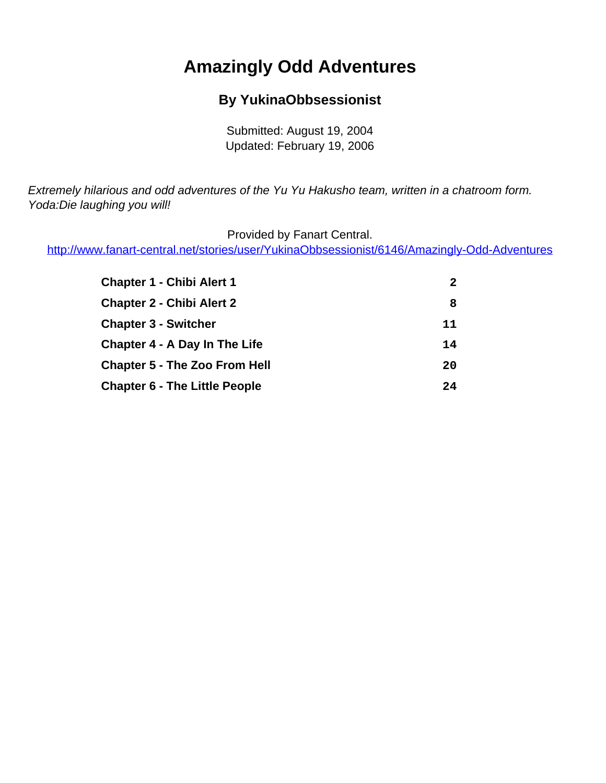# **Amazingly Odd Adventures**

### **By YukinaObbsessionist**

Submitted: August 19, 2004 Updated: February 19, 2006

<span id="page-0-0"></span>Extremely hilarious and odd adventures of the Yu Yu Hakusho team, written in a chatroom form. Yoda:Die laughing you will!

Provided by Fanart Central.

[http://www.fanart-central.net/stories/user/YukinaObbsessionist/6146/Amazingly-Odd-Adventures](#page-0-0)

| <b>Chapter 1 - Chibi Alert 1</b>     | $\mathbf{2}$ |
|--------------------------------------|--------------|
| <b>Chapter 2 - Chibi Alert 2</b>     | 8            |
| <b>Chapter 3 - Switcher</b>          | 11           |
| <b>Chapter 4 - A Day In The Life</b> | 14           |
| <b>Chapter 5 - The Zoo From Hell</b> | 20           |
| <b>Chapter 6 - The Little People</b> | 24           |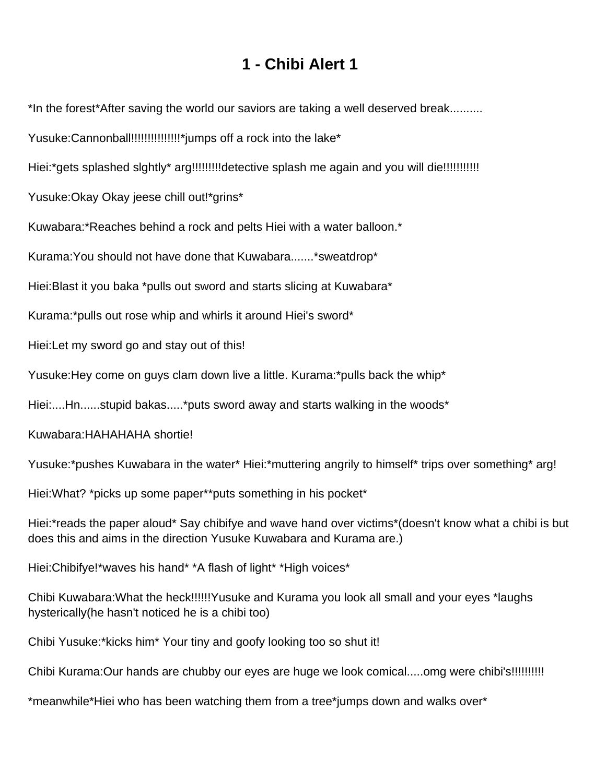### **1 - Chibi Alert 1**

<span id="page-1-0"></span>\*In the forest\*After saving the world our saviors are taking a well deserved break..........

Yusuke:Cannonball!!!!!!!!!!!!!!!\*jumps off a rock into the lake\*

Hiei:\*gets splashed slghtly\* arg!!!!!!!!!!detective splash me again and you will die!!!!!!!!!!!!!!!!

Yusuke:Okay Okay jeese chill out!\*grins\*

Kuwabara:\*Reaches behind a rock and pelts Hiei with a water balloon.\*

Kurama:You should not have done that Kuwabara.......\*sweatdrop\*

Hiei:Blast it you baka \*pulls out sword and starts slicing at Kuwabara\*

Kurama:\*pulls out rose whip and whirls it around Hiei's sword\*

Hiei:Let my sword go and stay out of this!

Yusuke:Hey come on guys clam down live a little. Kurama:\*pulls back the whip\*

Hiei:....Hn......stupid bakas.....\*puts sword away and starts walking in the woods\*

Kuwabara:HAHAHAHA shortie!

Yusuke:\*pushes Kuwabara in the water\* Hiei:\*muttering angrily to himself\* trips over something\* arg!

Hiei:What? \*picks up some paper\*\*puts something in his pocket\*

Hiei:\*reads the paper aloud\* Say chibifye and wave hand over victims\*(doesn't know what a chibi is but does this and aims in the direction Yusuke Kuwabara and Kurama are.)

Hiei:Chibifye!\*waves his hand\* \*A flash of light\* \*High voices\*

Chibi Kuwabara:What the heck!!!!!!Yusuke and Kurama you look all small and your eyes \*laughs hysterically(he hasn't noticed he is a chibi too)

Chibi Yusuke:\*kicks him\* Your tiny and goofy looking too so shut it!

Chibi Kurama:Our hands are chubby our eyes are huge we look comical.....omg were chibi's!!!!!!!!!!

\*meanwhile\*Hiei who has been watching them from a tree\*jumps down and walks over\*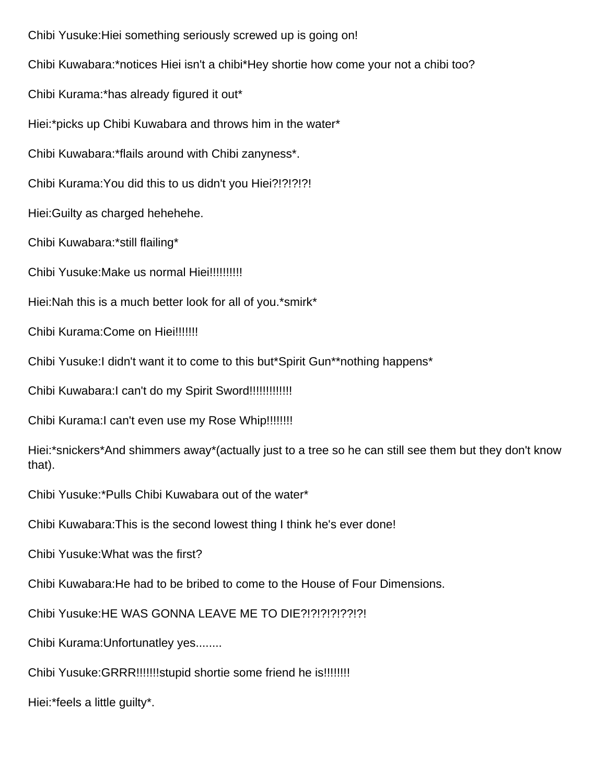Chibi Yusuke:Hiei something seriously screwed up is going on! Chibi Kuwabara:\*notices Hiei isn't a chibi\*Hey shortie how come your not a chibi too? Chibi Kurama:\*has already figured it out\* Hiei:\*picks up Chibi Kuwabara and throws him in the water\* Chibi Kuwabara:\*flails around with Chibi zanyness\*. Chibi Kurama:You did this to us didn't you Hiei?!?!?!?! Hiei:Guilty as charged hehehehe. Chibi Kuwabara:\*still flailing\* Chibi Yusuke:Make us normal Hiei!!!!!!!!!! Hiei:Nah this is a much better look for all of you.\*smirk\* Chibi Kurama:Come on Hiei!!!!!!! Chibi Yusuke:I didn't want it to come to this but\*Spirit Gun\*\*nothing happens\* Chibi Kuwabara:I can't do my Spirit Sword!!!!!!!!!!!!! Chibi Kurama:I can't even use my Rose Whip!!!!!!!! Hiei:\*snickers\*And shimmers away\*(actually just to a tree so he can still see them but they don't know that). Chibi Yusuke:\*Pulls Chibi Kuwabara out of the water\* Chibi Kuwabara:This is the second lowest thing I think he's ever done! Chibi Yusuke:What was the first? Chibi Kuwabara:He had to be bribed to come to the House of Four Dimensions. Chibi Yusuke:HE WAS GONNA LEAVE ME TO DIE?!?!?!?!??!?! Chibi Kurama:Unfortunatley yes........ Chibi Yusuke:GRRR!!!!!!!stupid shortie some friend he is!!!!!!!! Hiei:\*feels a little guilty\*.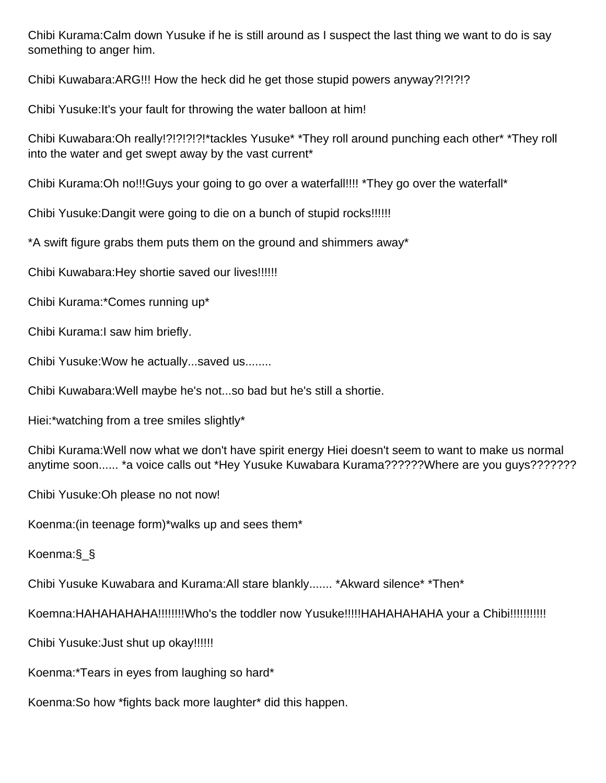Chibi Kurama:Calm down Yusuke if he is still around as I suspect the last thing we want to do is say something to anger him.

Chibi Kuwabara:ARG!!! How the heck did he get those stupid powers anyway?!?!?!?

Chibi Yusuke:It's your fault for throwing the water balloon at him!

Chibi Kuwabara:Oh really!?!?!?!?!\*tackles Yusuke\* \*They roll around punching each other\* \*They roll into the water and get swept away by the vast current\*

Chibi Kurama:Oh no!!!Guys your going to go over a waterfall!!!! \*They go over the waterfall\*

Chibi Yusuke:Dangit were going to die on a bunch of stupid rocks!!!!!!

\*A swift figure grabs them puts them on the ground and shimmers away\*

Chibi Kuwabara:Hey shortie saved our lives!!!!!!

Chibi Kurama:\*Comes running up\*

Chibi Kurama:I saw him briefly.

Chibi Yusuke:Wow he actually...saved us........

Chibi Kuwabara:Well maybe he's not...so bad but he's still a shortie.

Hiei:\*watching from a tree smiles slightly\*

Chibi Kurama:Well now what we don't have spirit energy Hiei doesn't seem to want to make us normal anytime soon...... \*a voice calls out \*Hey Yusuke Kuwabara Kurama??????Where are you guys???????

Chibi Yusuke:Oh please no not now!

Koenma:(in teenage form)\*walks up and sees them\*

Koenma:§\_§

Chibi Yusuke Kuwabara and Kurama:All stare blankly....... \*Akward silence\* \*Then\*

Koemna:HAHAHAHAHA!!!!!!!!Who's the toddler now Yusuke!!!!!HAHAHAHAHA your a Chibi!!!!!!!!!!!

Chibi Yusuke:Just shut up okay!!!!!!

Koenma:\*Tears in eyes from laughing so hard\*

Koenma:So how \*fights back more laughter\* did this happen.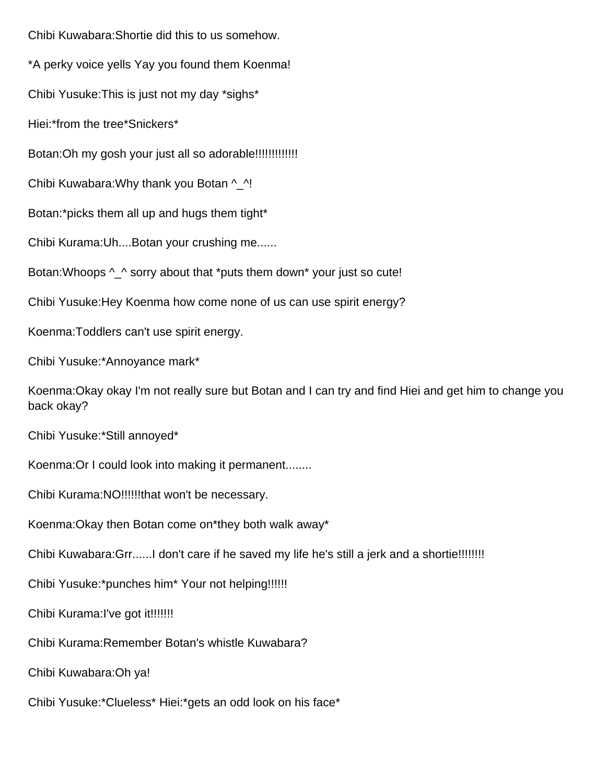Chibi Kuwabara:Shortie did this to us somehow. \*A perky voice yells Yay you found them Koenma! Chibi Yusuke:This is just not my day \*sighs\* Hiei:\*from the tree\*Snickers\* Botan:Oh my gosh your just all so adorable!!!!!!!!!!!!! Chibi Kuwabara:Why thank you Botan ^\_^! Botan:\*picks them all up and hugs them tight\* Chibi Kurama:Uh....Botan your crushing me...... Botan: Whoops  $\wedge$   $\wedge$  sorry about that \*puts them down\* your just so cute! Chibi Yusuke:Hey Koenma how come none of us can use spirit energy? Koenma:Toddlers can't use spirit energy. Chibi Yusuke:\*Annoyance mark\* Koenma:Okay okay I'm not really sure but Botan and I can try and find Hiei and get him to change you back okay? Chibi Yusuke:\*Still annoyed\* Koenma:Or I could look into making it permanent........ Chibi Kurama:NO!!!!!!that won't be necessary. Koenma:Okay then Botan come on\*they both walk away\* Chibi Kuwabara:Grr......I don't care if he saved my life he's still a jerk and a shortie!!!!!!!! Chibi Yusuke:\*punches him\* Your not helping!!!!!! Chibi Kurama:I've got it!!!!!!! Chibi Kurama:Remember Botan's whistle Kuwabara? Chibi Kuwabara:Oh ya! Chibi Yusuke:\*Clueless\* Hiei:\*gets an odd look on his face\*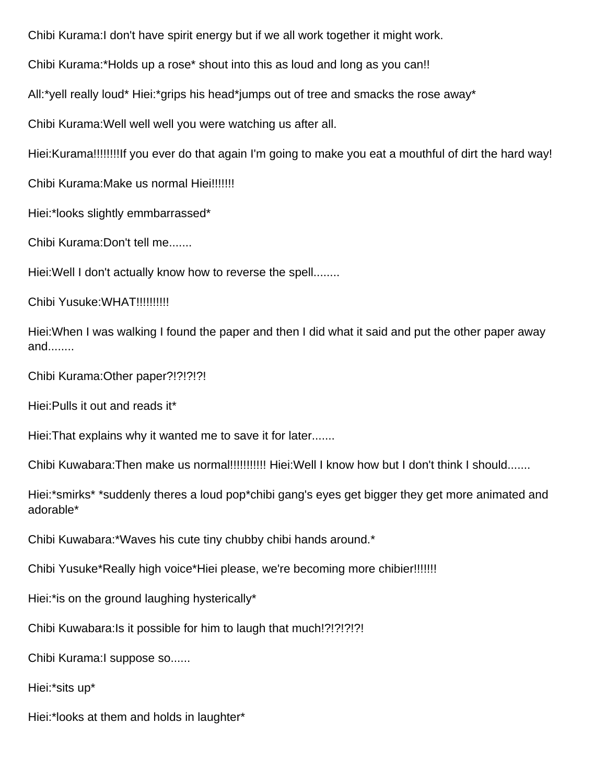Chibi Kurama:I don't have spirit energy but if we all work together it might work.

Chibi Kurama:\*Holds up a rose\* shout into this as loud and long as you can!!

All:\*yell really loud\* Hiei:\*grips his head\*jumps out of tree and smacks the rose away\*

Chibi Kurama:Well well well you were watching us after all.

Hiei:Kurama!!!!!!!!If you ever do that again I'm going to make you eat a mouthful of dirt the hard way!

Chibi Kurama:Make us normal Hiei!!!!!!!

Hiei:\*looks slightly emmbarrassed\*

Chibi Kurama:Don't tell me.......

Hiei:Well I don't actually know how to reverse the spell........

Chibi Yusuke:WHAT!!!!!!!!!!

Hiei:When I was walking I found the paper and then I did what it said and put the other paper away and........

Chibi Kurama:Other paper?!?!?!?!

Hiei:Pulls it out and reads it\*

Hiei:That explains why it wanted me to save it for later.......

Chibi Kuwabara:Then make us normal!!!!!!!!!!! Hiei:Well I know how but I don't think I should.......

Hiei:\*smirks\* \*suddenly theres a loud pop\*chibi gang's eyes get bigger they get more animated and adorable\*

Chibi Kuwabara:\*Waves his cute tiny chubby chibi hands around.\*

Chibi Yusuke\*Really high voice\*Hiei please, we're becoming more chibier!!!!!!!

Hiei:\*is on the ground laughing hysterically\*

Chibi Kuwabara:Is it possible for him to laugh that much!?!?!?!?!

Chibi Kurama:I suppose so......

Hiei:\*sits up\*

Hiei:\*looks at them and holds in laughter\*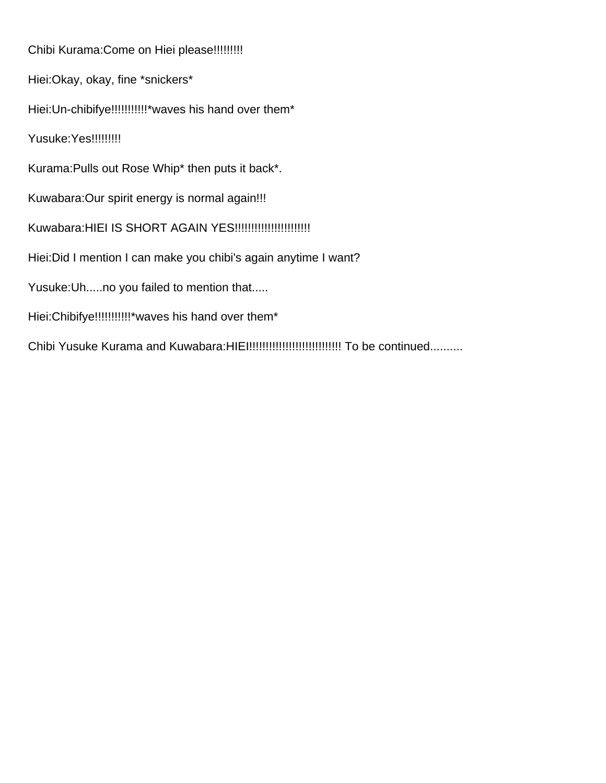Chibi Kurama:Come on Hiei please!!!!!!!!! Hiei:Okay, okay, fine \*snickers\* Hiei: Un-chibifye!!!!!!!!!!!!\* waves his hand over them\* Yusuke:Yes!!!!!!!!!! Kurama:Pulls out Rose Whip\* then puts it back\*. Kuwabara:Our spirit energy is normal again!!! Kuwabara:HIEI IS SHORT AGAIN YES!!!!!!!!!!!!!!!!!!!!!!! Hiei:Did I mention I can make you chibi's again anytime I want? Yusuke:Uh.....no you failed to mention that..... Hiei:Chibifye!!!!!!!!!!!!\*waves his hand over them\* Chibi Yusuke Kurama and Kuwabara:HIEI!!!!!!!!!!!!!!!!!!!!!!!!!!!! To be continued..........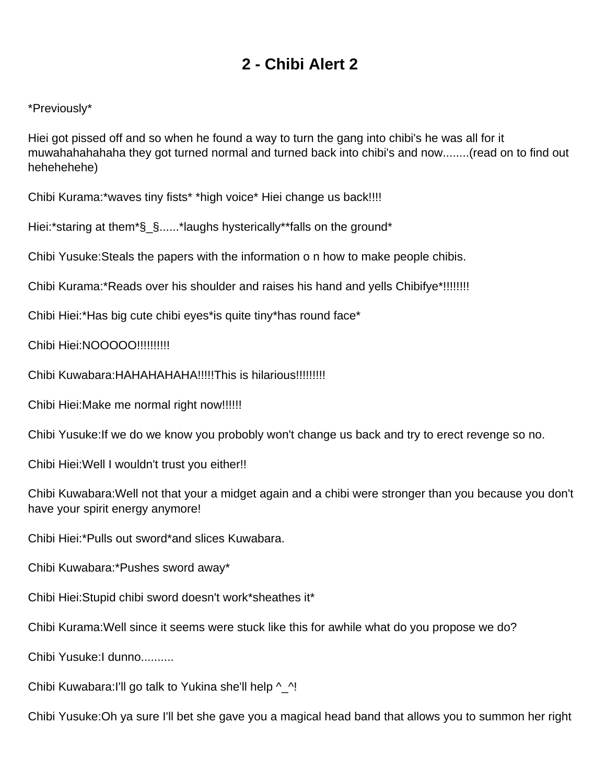## **2 - Chibi Alert 2**

#### <span id="page-7-0"></span>\*Previously\*

Hiei got pissed off and so when he found a way to turn the gang into chibi's he was all for it muwahahahahaha they got turned normal and turned back into chibi's and now........(read on to find out hehehehehe)

Chibi Kurama:\*waves tiny fists\* \*high voice\* Hiei change us back!!!!

Hiei:\*staring at them\*§\_§......\*laughs hysterically\*\*falls on the ground\*

Chibi Yusuke:Steals the papers with the information o n how to make people chibis.

Chibi Kurama:\*Reads over his shoulder and raises his hand and yells Chibifye\*!!!!!!!!

Chibi Hiei:\*Has big cute chibi eyes\*is quite tiny\*has round face\*

Chibi Hiei:NOOOOO!!!!!!!!!!!

Chibi Kuwabara:HAHAHAHAHA!!!!!This is hilarious!!!!!!!!!

Chibi Hiei:Make me normal right now!!!!!!

Chibi Yusuke:If we do we know you probobly won't change us back and try to erect revenge so no.

Chibi Hiei:Well I wouldn't trust you either!!

Chibi Kuwabara:Well not that your a midget again and a chibi were stronger than you because you don't have your spirit energy anymore!

Chibi Hiei:\*Pulls out sword\*and slices Kuwabara.

Chibi Kuwabara:\*Pushes sword away\*

Chibi Hiei:Stupid chibi sword doesn't work\*sheathes it\*

Chibi Kurama:Well since it seems were stuck like this for awhile what do you propose we do?

Chibi Yusuke:I dunno..........

Chibi Kuwabara:I'll go talk to Yukina she'll help ^\_^!

Chibi Yusuke:Oh ya sure I'll bet she gave you a magical head band that allows you to summon her right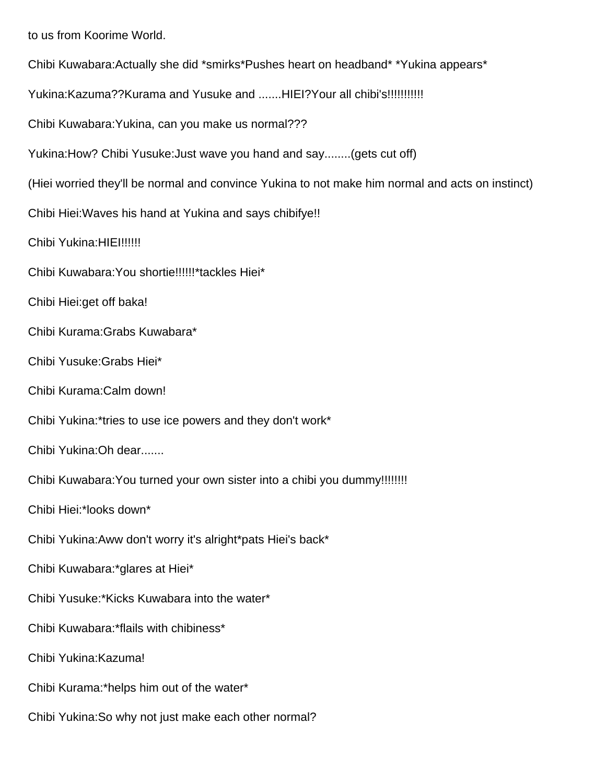to us from Koorime World. Chibi Kuwabara:Actually she did \*smirks\*Pushes heart on headband\* \*Yukina appears\* Yukina:Kazuma??Kurama and Yusuke and .......HIEI?Your all chibi's!!!!!!!!!!!!!!!! Chibi Kuwabara:Yukina, can you make us normal??? Yukina:How? Chibi Yusuke:Just wave you hand and say........(gets cut off) (Hiei worried they'll be normal and convince Yukina to not make him normal and acts on instinct) Chibi Hiei:Waves his hand at Yukina and says chibifye!! Chibi Yukina: HIEI!!!!!!! Chibi Kuwabara:You shortie!!!!!!\*tackles Hiei\* Chibi Hiei:get off baka! Chibi Kurama:Grabs Kuwabara\* Chibi Yusuke:Grabs Hiei\* Chibi Kurama:Calm down! Chibi Yukina:\*tries to use ice powers and they don't work\* Chibi Yukina:Oh dear....... Chibi Kuwabara:You turned your own sister into a chibi you dummy!!!!!!!! Chibi Hiei:\*looks down\* Chibi Yukina:Aww don't worry it's alright\*pats Hiei's back\*

Chibi Kuwabara:\*glares at Hiei\*

Chibi Yusuke:\*Kicks Kuwabara into the water\*

Chibi Kuwabara:\*flails with chibiness\*

Chibi Yukina:Kazuma!

Chibi Kurama:\*helps him out of the water\*

Chibi Yukina:So why not just make each other normal?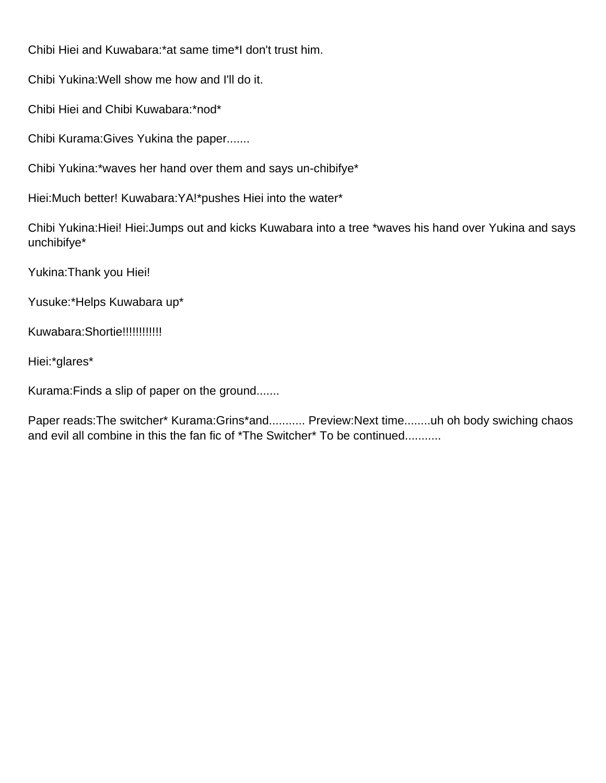Chibi Hiei and Kuwabara:\*at same time\*I don't trust him.

Chibi Yukina:Well show me how and I'll do it.

Chibi Hiei and Chibi Kuwabara:\*nod\*

Chibi Kurama:Gives Yukina the paper.......

Chibi Yukina:\*waves her hand over them and says un-chibifye\*

Hiei:Much better! Kuwabara:YA!\*pushes Hiei into the water\*

Chibi Yukina:Hiei! Hiei:Jumps out and kicks Kuwabara into a tree \*waves his hand over Yukina and says unchibifye\*

Yukina:Thank you Hiei!

Yusuke:\*Helps Kuwabara up\*

Kuwabara:Shortie!!!!!!!!!!!!!

Hiei:\*glares\*

Kurama:Finds a slip of paper on the ground.......

Paper reads:The switcher\* Kurama:Grins\*and........... Preview:Next time........uh oh body swiching chaos and evil all combine in this the fan fic of \*The Switcher\* To be continued..........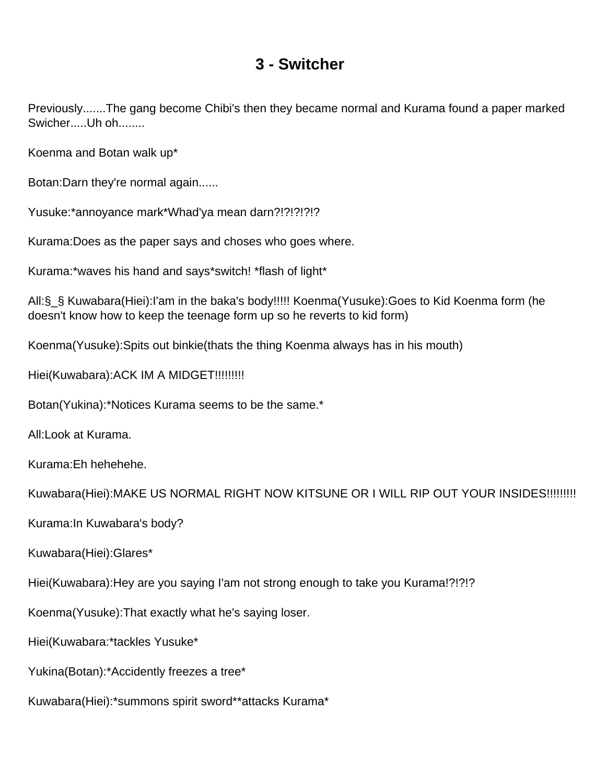### **3 - Switcher**

<span id="page-10-0"></span>Previously.......The gang become Chibi's then they became normal and Kurama found a paper marked Swicher.....Uh oh........

Koenma and Botan walk up\*

Botan:Darn they're normal again......

Yusuke:\*annoyance mark\*Whad'ya mean darn?!?!?!?!?

Kurama:Does as the paper says and choses who goes where.

Kurama:\*waves his hand and says\*switch! \*flash of light\*

All:§\_§ Kuwabara(Hiei):I'am in the baka's body!!!!! Koenma(Yusuke):Goes to Kid Koenma form (he doesn't know how to keep the teenage form up so he reverts to kid form)

Koenma(Yusuke):Spits out binkie(thats the thing Koenma always has in his mouth)

Hiei(Kuwabara): ACK IM A MIDGET!!!!!!!!!!

Botan(Yukina):\*Notices Kurama seems to be the same.\*

All:Look at Kurama.

Kurama:Eh hehehehe.

Kuwabara(Hiei):MAKE US NORMAL RIGHT NOW KITSUNE OR I WILL RIP OUT YOUR INSIDES!!!!!!!!!

Kurama:In Kuwabara's body?

Kuwabara(Hiei):Glares\*

Hiei(Kuwabara):Hey are you saying I'am not strong enough to take you Kurama!?!?!?

Koenma(Yusuke):That exactly what he's saying loser.

Hiei(Kuwabara:\*tackles Yusuke\*

Yukina(Botan):\*Accidently freezes a tree\*

Kuwabara(Hiei):\*summons spirit sword\*\*attacks Kurama\*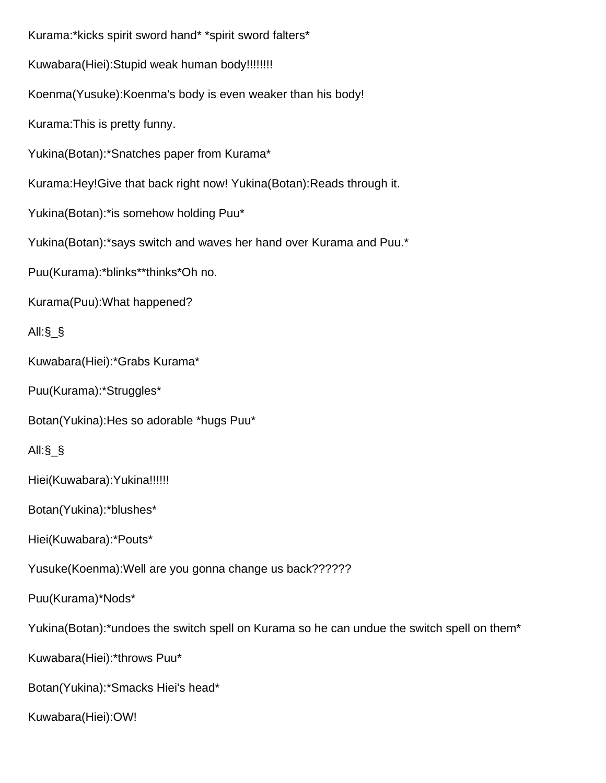Kurama:\*kicks spirit sword hand\* \*spirit sword falters\* Kuwabara(Hiei):Stupid weak human body!!!!!!!! Koenma(Yusuke):Koenma's body is even weaker than his body! Kurama:This is pretty funny. Yukina(Botan):\*Snatches paper from Kurama\* Kurama:Hey!Give that back right now! Yukina(Botan):Reads through it. Yukina(Botan):\*is somehow holding Puu\* Yukina(Botan):\*says switch and waves her hand over Kurama and Puu.\* Puu(Kurama):\*blinks\*\*thinks\*Oh no. Kurama(Puu):What happened? All:§\_§ Kuwabara(Hiei):\*Grabs Kurama\* Puu(Kurama):\*Struggles\* Botan(Yukina):Hes so adorable \*hugs Puu\* All:§\_§ Hiei(Kuwabara):Yukina!!!!!! Botan(Yukina):\*blushes\* Hiei(Kuwabara):\*Pouts\* Yusuke(Koenma):Well are you gonna change us back?????? Puu(Kurama)\*Nods\* Yukina(Botan):\*undoes the switch spell on Kurama so he can undue the switch spell on them\* Kuwabara(Hiei):\*throws Puu\* Botan(Yukina):\*Smacks Hiei's head\* Kuwabara(Hiei):OW!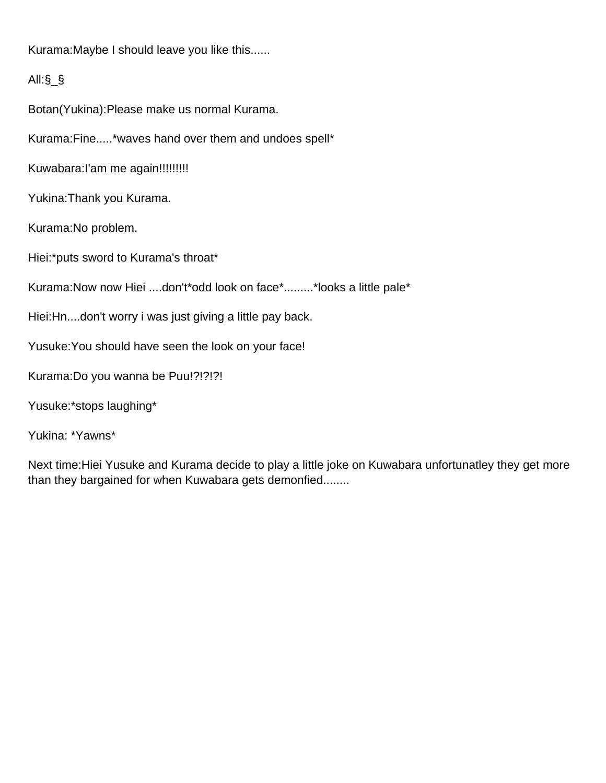Kurama:Maybe I should leave you like this......

#### All:§\_§

Botan(Yukina):Please make us normal Kurama.

Kurama:Fine.....\*waves hand over them and undoes spell\*

Kuwabara: l'am me again!!!!!!!!!!

Yukina:Thank you Kurama.

Kurama:No problem.

Hiei:\*puts sword to Kurama's throat\*

Kurama:Now now Hiei ....don't\*odd look on face\*.........\*looks a little pale\*

Hiei:Hn....don't worry i was just giving a little pay back.

Yusuke:You should have seen the look on your face!

Kurama:Do you wanna be Puu!?!?!?!

Yusuke:\*stops laughing\*

Yukina: \*Yawns\*

Next time:Hiei Yusuke and Kurama decide to play a little joke on Kuwabara unfortunatley they get more than they bargained for when Kuwabara gets demonfied........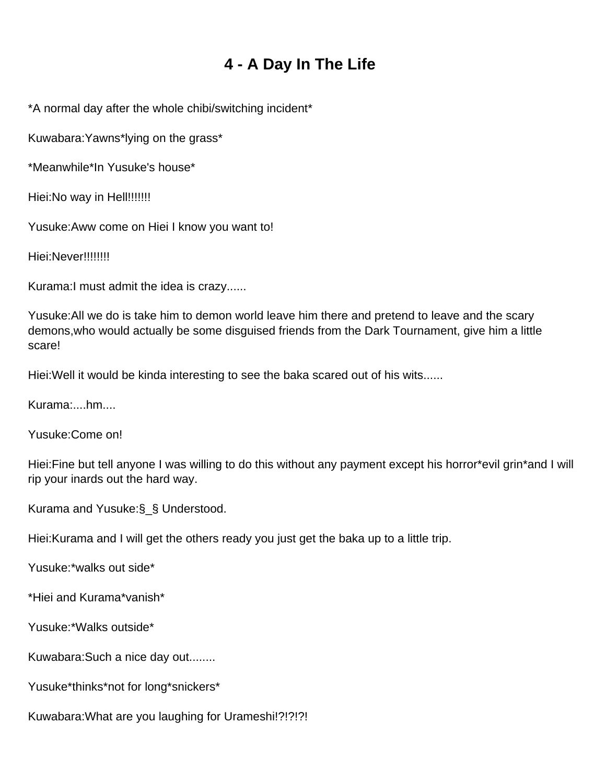# **4 - A Day In The Life**

<span id="page-13-0"></span>\*A normal day after the whole chibi/switching incident\*

Kuwabara:Yawns\*lying on the grass\*

\*Meanwhile\*In Yusuke's house\*

Hiei:No way in Hell!!!!!!!!

Yusuke:Aww come on Hiei I know you want to!

Hiei:Never!!!!!!!!!

Kurama:I must admit the idea is crazy......

Yusuke:All we do is take him to demon world leave him there and pretend to leave and the scary demons,who would actually be some disguised friends from the Dark Tournament, give him a little scare!

Hiei:Well it would be kinda interesting to see the baka scared out of his wits......

Kurama:....hm....

Yusuke:Come on!

Hiei:Fine but tell anyone I was willing to do this without any payment except his horror\*evil grin\*and I will rip your inards out the hard way.

Kurama and Yusuke:§\_§ Understood.

Hiei:Kurama and I will get the others ready you just get the baka up to a little trip.

Yusuke:\*walks out side\*

\*Hiei and Kurama\*vanish\*

Yusuke:\*Walks outside\*

Kuwabara:Such a nice day out........

Yusuke\*thinks\*not for long\*snickers\*

Kuwabara:What are you laughing for Urameshi!?!?!?!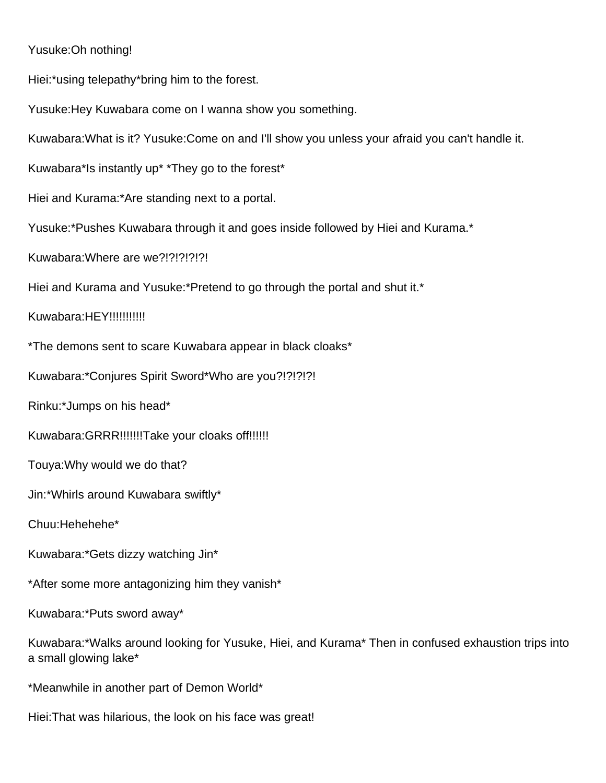#### Yusuke:Oh nothing!

Hiei:\*using telepathy\*bring him to the forest.

Yusuke:Hey Kuwabara come on I wanna show you something.

Kuwabara:What is it? Yusuke:Come on and I'll show you unless your afraid you can't handle it.

Kuwabara\*Is instantly up\* \*They go to the forest\*

Hiei and Kurama:\*Are standing next to a portal.

Yusuke:\*Pushes Kuwabara through it and goes inside followed by Hiei and Kurama.\*

Kuwabara:Where are we?!?!?!?!?!

Hiei and Kurama and Yusuke:\*Pretend to go through the portal and shut it.\*

Kuwabara:HEY!!!!!!!!!!!!

\*The demons sent to scare Kuwabara appear in black cloaks\*

Kuwabara:\*Conjures Spirit Sword\*Who are you?!?!?!?!

Rinku:\*Jumps on his head\*

Kuwabara:GRRR!!!!!!!Take your cloaks off!!!!!!

Touya:Why would we do that?

Jin:\*Whirls around Kuwabara swiftly\*

Chuu:Hehehehe\*

Kuwabara:\*Gets dizzy watching Jin\*

\*After some more antagonizing him they vanish\*

Kuwabara:\*Puts sword away\*

Kuwabara:\*Walks around looking for Yusuke, Hiei, and Kurama\* Then in confused exhaustion trips into a small glowing lake\*

\*Meanwhile in another part of Demon World\*

Hiei:That was hilarious, the look on his face was great!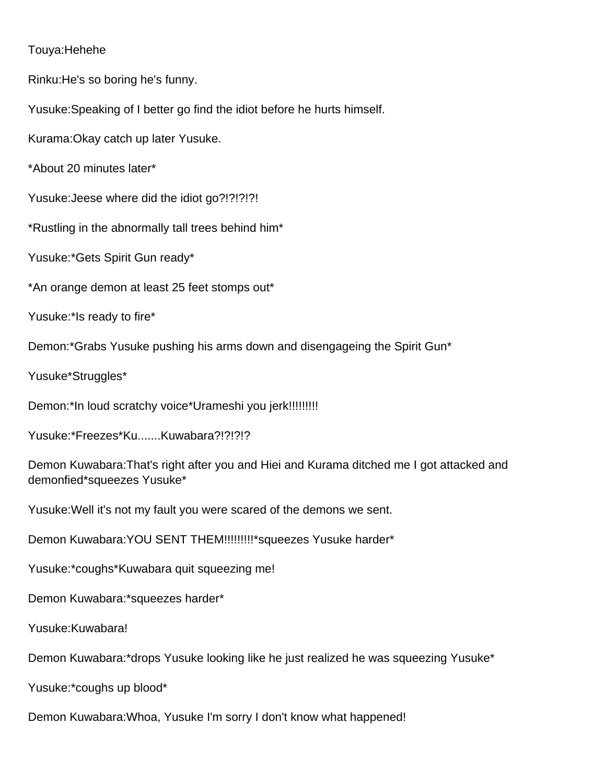#### Touya:Hehehe

Rinku:He's so boring he's funny.

Yusuke:Speaking of I better go find the idiot before he hurts himself.

Kurama:Okay catch up later Yusuke.

\*About 20 minutes later\*

Yusuke:Jeese where did the idiot go?!?!?!?!

\*Rustling in the abnormally tall trees behind him\*

Yusuke:\*Gets Spirit Gun ready\*

\*An orange demon at least 25 feet stomps out\*

Yusuke:\*Is ready to fire\*

Demon:\*Grabs Yusuke pushing his arms down and disengageing the Spirit Gun\*

Yusuke\*Struggles\*

Demon:\*In loud scratchy voice\*Urameshi you jerk!!!!!!!!!!

Yusuke:\*Freezes\*Ku.......Kuwabara?!?!?!?

Demon Kuwabara:That's right after you and Hiei and Kurama ditched me I got attacked and demonfied\*squeezes Yusuke\*

Yusuke:Well it's not my fault you were scared of the demons we sent.

Demon Kuwabara: YOU SENT THEM!!!!!!!!!!\* squeezes Yusuke harder\*

Yusuke:\*coughs\*Kuwabara quit squeezing me!

Demon Kuwabara:\*squeezes harder\*

Yusuke:Kuwabara!

Demon Kuwabara:\*drops Yusuke looking like he just realized he was squeezing Yusuke\*

Yusuke:\*coughs up blood\*

Demon Kuwabara:Whoa, Yusuke I'm sorry I don't know what happened!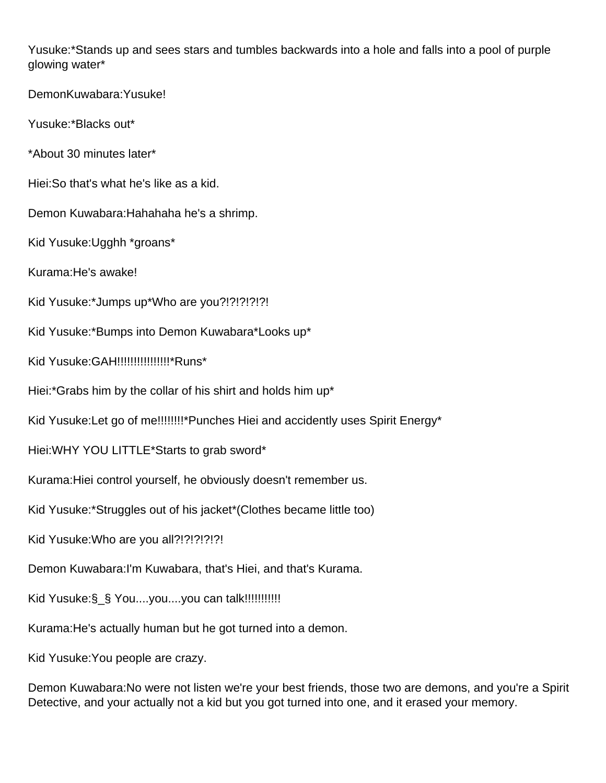Yusuke:\*Stands up and sees stars and tumbles backwards into a hole and falls into a pool of purple glowing water\*

DemonKuwabara:Yusuke!

Yusuke:\*Blacks out\*

\*About 30 minutes later\*

Hiei:So that's what he's like as a kid.

Demon Kuwabara:Hahahaha he's a shrimp.

Kid Yusuke:Ugghh \*groans\*

Kurama:He's awake!

Kid Yusuke:\*Jumps up\*Who are you?!?!?!?!?!

Kid Yusuke:\*Bumps into Demon Kuwabara\*Looks up\*

Kid Yusuke:GAH!!!!!!!!!!!!!!!!\*Runs\*

Hiei:\*Grabs him by the collar of his shirt and holds him up\*

Kid Yusuke:Let go of me!!!!!!!!\*Punches Hiei and accidently uses Spirit Energy\*

Hiei:WHY YOU LITTLE\*Starts to grab sword\*

Kurama:Hiei control yourself, he obviously doesn't remember us.

Kid Yusuke:\*Struggles out of his jacket\*(Clothes became little too)

Kid Yusuke:Who are you all?!?!?!?!?!

Demon Kuwabara:I'm Kuwabara, that's Hiei, and that's Kurama.

Kid Yusuke:§ § You....you....you can talk!!!!!!!!!!!!!

Kurama:He's actually human but he got turned into a demon.

Kid Yusuke:You people are crazy.

Demon Kuwabara:No were not listen we're your best friends, those two are demons, and you're a Spirit Detective, and your actually not a kid but you got turned into one, and it erased your memory.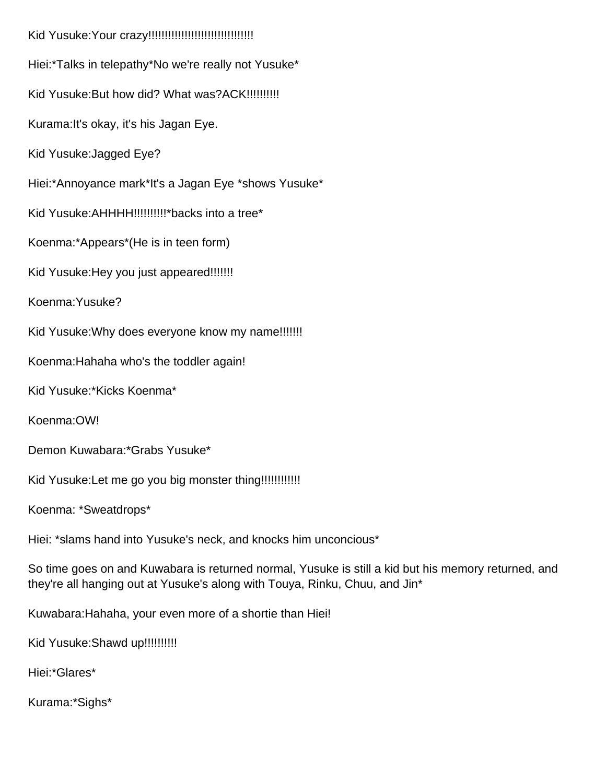Kid Yusuke:Your crazy!!!!!!!!!!!!!!!!!!!!!!!!!!!!!!!! Hiei:\*Talks in telepathy\*No we're really not Yusuke\* Kid Yusuke: But how did? What was? ACK!!!!!!!!!!! Kurama:It's okay, it's his Jagan Eye. Kid Yusuke:Jagged Eye? Hiei:\*Annoyance mark\*It's a Jagan Eye \*shows Yusuke\* Kid Yusuke: AHHHH!!!!!!!!!!!\*backs into a tree\* Koenma:\*Appears\*(He is in teen form) Kid Yusuke: Hey you just appeared!!!!!!!! Koenma:Yusuke? Kid Yusuke: Why does everyone know my name!!!!!!!! Koenma:Hahaha who's the toddler again! Kid Yusuke:\*Kicks Koenma\* Koenma:OW! Demon Kuwabara:\*Grabs Yusuke\* Kid Yusuke:Let me go you big monster thing!!!!!!!!!!!! Koenma: \*Sweatdrops\* Hiei: \*slams hand into Yusuke's neck, and knocks him unconcious\* So time goes on and Kuwabara is returned normal, Yusuke is still a kid but his memory returned, and they're all hanging out at Yusuke's along with Touya, Rinku, Chuu, and Jin\*

Kuwabara:Hahaha, your even more of a shortie than Hiei!

Kid Yusuke: Shawd up!!!!!!!!!!!

Hiei:\*Glares\*

Kurama:\*Sighs\*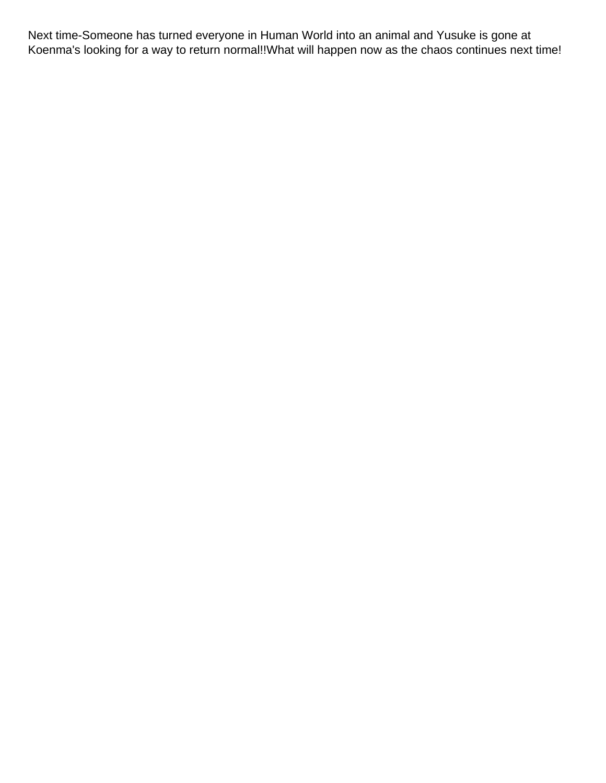Next time-Someone has turned everyone in Human World into an animal and Yusuke is gone at Koenma's looking for a way to return normal!!What will happen now as the chaos continues next time!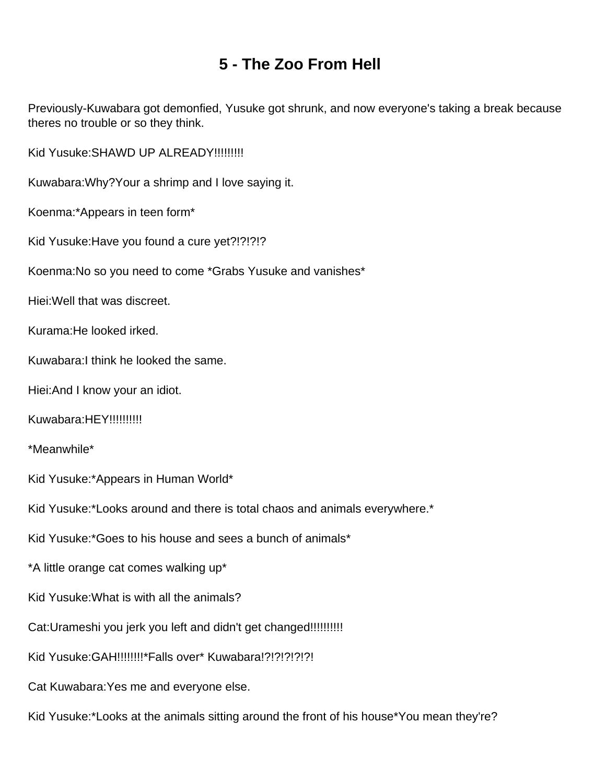## **5 - The Zoo From Hell**

<span id="page-19-0"></span>Previously-Kuwabara got demonfied, Yusuke got shrunk, and now everyone's taking a break because theres no trouble or so they think.

Kid Yusuke: SHAWD UP ALREADY!!!!!!!!!!

Kuwabara:Why?Your a shrimp and I love saying it.

Koenma:\*Appears in teen form\*

Kid Yusuke:Have you found a cure yet?!?!?!?

Koenma:No so you need to come \*Grabs Yusuke and vanishes\*

Hiei:Well that was discreet.

Kurama:He looked irked.

Kuwabara:I think he looked the same.

Hiei:And I know your an idiot.

Kuwabara:HEY!!!!!!!!!!!

\*Meanwhile\*

Kid Yusuke:\*Appears in Human World\*

Kid Yusuke:\*Looks around and there is total chaos and animals everywhere.\*

Kid Yusuke:\*Goes to his house and sees a bunch of animals\*

\*A little orange cat comes walking up\*

Kid Yusuke:What is with all the animals?

Cat:Urameshi you jerk you left and didn't get changed!!!!!!!!!!

Kid Yusuke:GAH!!!!!!!!\*Falls over\* Kuwabara!?!?!?!?!?!

Cat Kuwabara:Yes me and everyone else.

Kid Yusuke:\*Looks at the animals sitting around the front of his house\*You mean they're?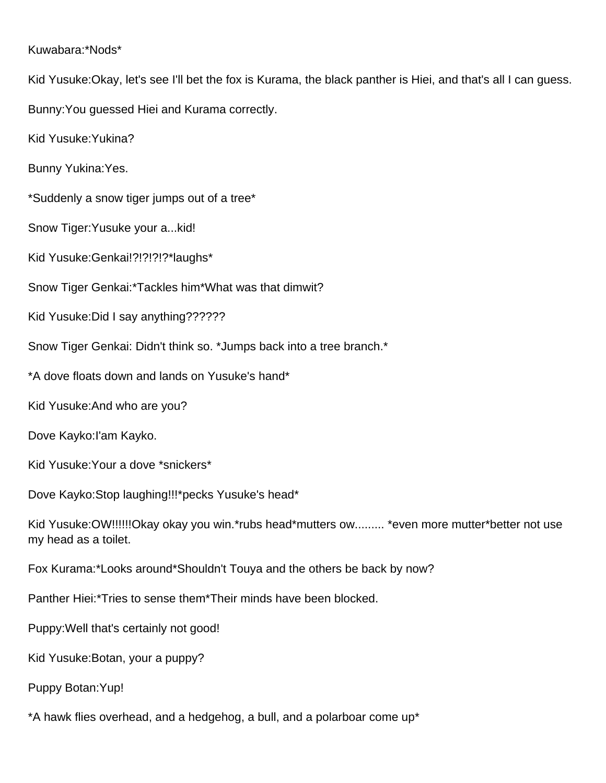#### Kuwabara:\*Nods\*

Kid Yusuke:Okay, let's see I'll bet the fox is Kurama, the black panther is Hiei, and that's all I can guess.

Bunny:You guessed Hiei and Kurama correctly.

Kid Yusuke:Yukina?

Bunny Yukina:Yes.

\*Suddenly a snow tiger jumps out of a tree\*

Snow Tiger:Yusuke your a...kid!

Kid Yusuke:Genkai!?!?!?!?\*laughs\*

Snow Tiger Genkai:\*Tackles him\*What was that dimwit?

Kid Yusuke:Did I say anything??????

Snow Tiger Genkai: Didn't think so. \*Jumps back into a tree branch.\*

\*A dove floats down and lands on Yusuke's hand\*

Kid Yusuke:And who are you?

Dove Kayko:I'am Kayko.

Kid Yusuke:Your a dove \*snickers\*

Dove Kayko:Stop laughing!!!\*pecks Yusuke's head\*

Kid Yusuke:OW!!!!!!Okay okay you win.\*rubs head\*mutters ow......... \*even more mutter\*better not use my head as a toilet.

Fox Kurama:\*Looks around\*Shouldn't Touya and the others be back by now?

Panther Hiei:\*Tries to sense them\*Their minds have been blocked.

Puppy:Well that's certainly not good!

Kid Yusuke:Botan, your a puppy?

Puppy Botan:Yup!

\*A hawk flies overhead, and a hedgehog, a bull, and a polarboar come up\*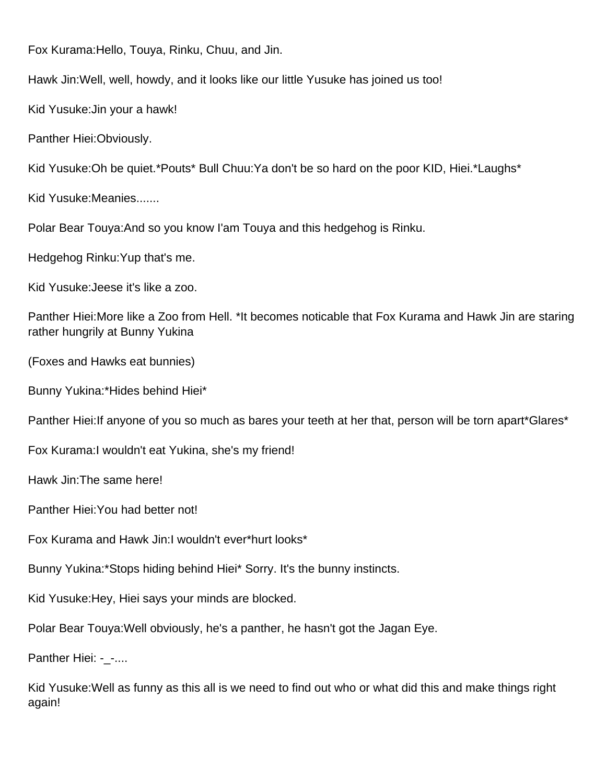Fox Kurama:Hello, Touya, Rinku, Chuu, and Jin.

Hawk Jin:Well, well, howdy, and it looks like our little Yusuke has joined us too!

Kid Yusuke:Jin your a hawk!

Panther Hiei:Obviously.

Kid Yusuke:Oh be quiet.\*Pouts\* Bull Chuu:Ya don't be so hard on the poor KID, Hiei.\*Laughs\*

Kid Yusuke:Meanies.......

Polar Bear Touya:And so you know I'am Touya and this hedgehog is Rinku.

Hedgehog Rinku:Yup that's me.

Kid Yusuke:Jeese it's like a zoo.

Panther Hiei:More like a Zoo from Hell. \*It becomes noticable that Fox Kurama and Hawk Jin are staring rather hungrily at Bunny Yukina

(Foxes and Hawks eat bunnies)

Bunny Yukina:\*Hides behind Hiei\*

Panther Hiei: If anyone of you so much as bares your teeth at her that, person will be torn apart\*Glares\*

Fox Kurama:I wouldn't eat Yukina, she's my friend!

Hawk Jin:The same here!

Panther Hiei:You had better not!

Fox Kurama and Hawk Jin:I wouldn't ever\*hurt looks\*

Bunny Yukina:\*Stops hiding behind Hiei\* Sorry. It's the bunny instincts.

Kid Yusuke:Hey, Hiei says your minds are blocked.

Polar Bear Touya:Well obviously, he's a panther, he hasn't got the Jagan Eye.

Panther Hiei: - -....

Kid Yusuke:Well as funny as this all is we need to find out who or what did this and make things right again!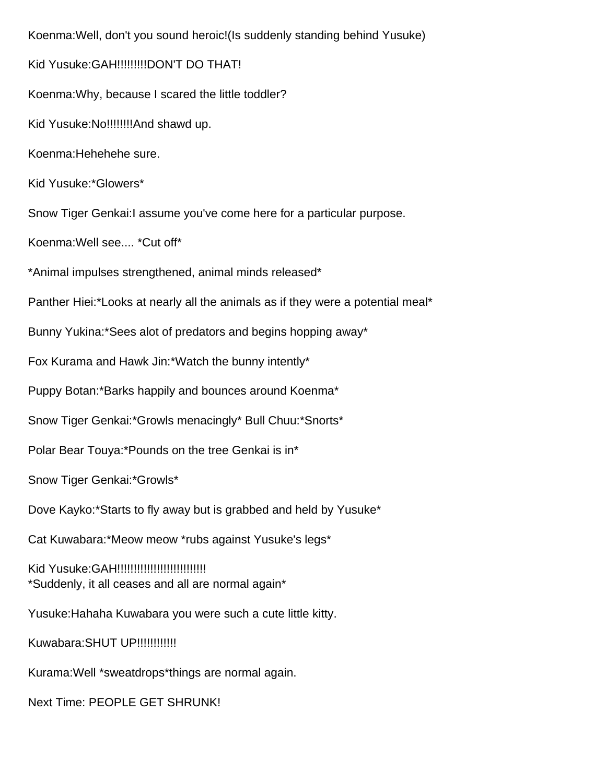Koenma:Well, don't you sound heroic!(Is suddenly standing behind Yusuke) Kid Yusuke:GAH!!!!!!!!!DON'T DO THAT! Koenma:Why, because I scared the little toddler? Kid Yusuke:No!!!!!!!!And shawd up. Koenma:Hehehehe sure. Kid Yusuke:\*Glowers\* Snow Tiger Genkai:I assume you've come here for a particular purpose. Koenma:Well see.... \*Cut off\* \*Animal impulses strengthened, animal minds released\* Panther Hiei:\*Looks at nearly all the animals as if they were a potential meal\* Bunny Yukina:\*Sees alot of predators and begins hopping away\* Fox Kurama and Hawk Jin:\*Watch the bunny intently\* Puppy Botan:\*Barks happily and bounces around Koenma\* Snow Tiger Genkai:\*Growls menacingly\* Bull Chuu:\*Snorts\* Polar Bear Touya:\*Pounds on the tree Genkai is in\* Snow Tiger Genkai:\*Growls\* Dove Kayko:\*Starts to fly away but is grabbed and held by Yusuke\* Cat Kuwabara:\*Meow meow \*rubs against Yusuke's legs\* Kid Yusuke:GAH!!!!!!!!!!!!!!!!!!!!!!!!!!! \*Suddenly, it all ceases and all are normal again\* Yusuke:Hahaha Kuwabara you were such a cute little kitty. Kuwabara:SHUT UP!!!!!!!!!!!! Kurama:Well \*sweatdrops\*things are normal again. Next Time: PEOPLE GET SHRUNK!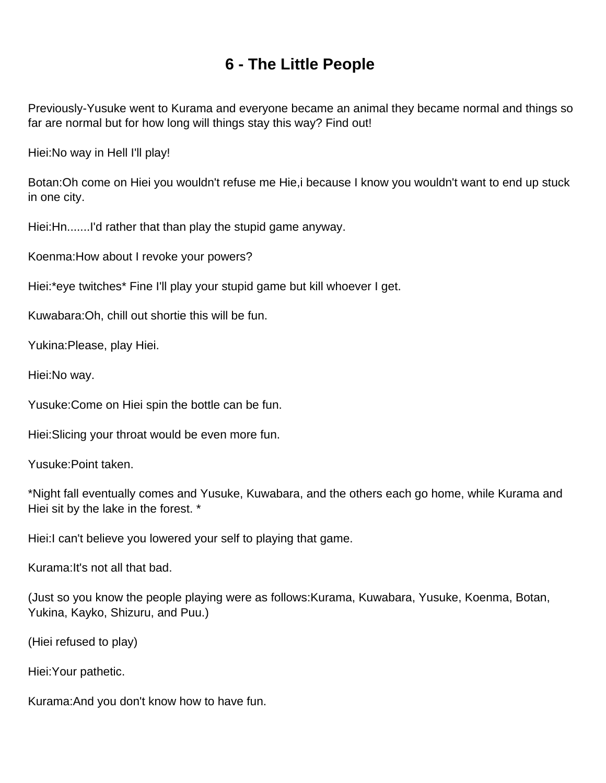## **6 - The Little People**

<span id="page-23-0"></span>Previously-Yusuke went to Kurama and everyone became an animal they became normal and things so far are normal but for how long will things stay this way? Find out!

Hiei:No way in Hell I'll play!

Botan:Oh come on Hiei you wouldn't refuse me Hie,i because I know you wouldn't want to end up stuck in one city.

Hiei:Hn.......I'd rather that than play the stupid game anyway.

Koenma:How about I revoke your powers?

Hiei:\*eye twitches\* Fine I'll play your stupid game but kill whoever I get.

Kuwabara:Oh, chill out shortie this will be fun.

Yukina:Please, play Hiei.

Hiei:No way.

Yusuke:Come on Hiei spin the bottle can be fun.

Hiei:Slicing your throat would be even more fun.

Yusuke:Point taken.

\*Night fall eventually comes and Yusuke, Kuwabara, and the others each go home, while Kurama and Hiei sit by the lake in the forest. \*

Hiei:I can't believe you lowered your self to playing that game.

Kurama:It's not all that bad.

(Just so you know the people playing were as follows:Kurama, Kuwabara, Yusuke, Koenma, Botan, Yukina, Kayko, Shizuru, and Puu.)

(Hiei refused to play)

Hiei:Your pathetic.

Kurama:And you don't know how to have fun.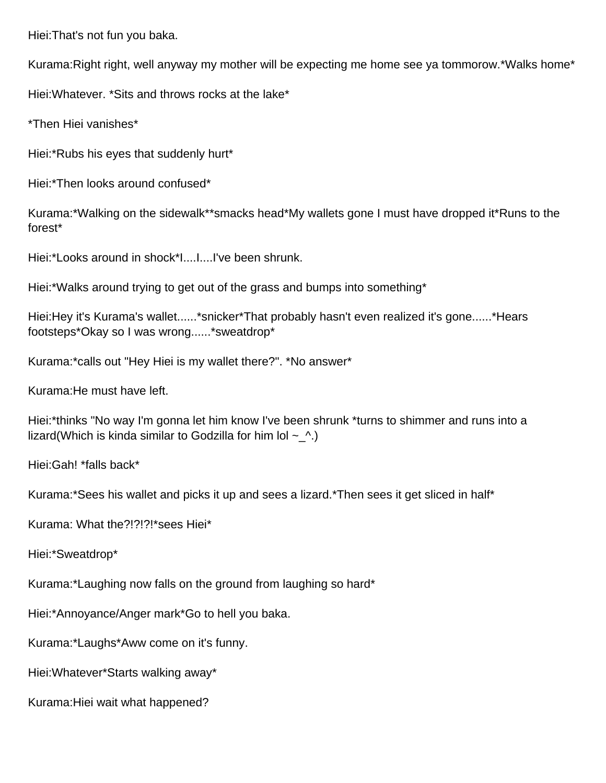Hiei:That's not fun you baka.

Kurama:Right right, well anyway my mother will be expecting me home see ya tommorow.\*Walks home\*

Hiei:Whatever. \*Sits and throws rocks at the lake\*

\*Then Hiei vanishes\*

Hiei:\*Rubs his eyes that suddenly hurt\*

Hiei:\*Then looks around confused\*

Kurama:\*Walking on the sidewalk\*\*smacks head\*My wallets gone I must have dropped it\*Runs to the forest\*

Hiei:\*Looks around in shock\*I....I....I've been shrunk.

Hiei:\*Walks around trying to get out of the grass and bumps into something\*

Hiei:Hey it's Kurama's wallet......\*snicker\*That probably hasn't even realized it's gone......\*Hears footsteps\*Okay so I was wrong......\*sweatdrop\*

Kurama:\*calls out "Hey Hiei is my wallet there?". \*No answer\*

Kurama:He must have left.

Hiei:\*thinks "No way I'm gonna let him know I've been shrunk \*turns to shimmer and runs into a lizard(Which is kinda similar to Godzilla for him lol  $\sim \Lambda$ .)

Hiei:Gah! \*falls back\*

Kurama:\*Sees his wallet and picks it up and sees a lizard.\*Then sees it get sliced in half\*

Kurama: What the?!?!?!\*sees Hiei\*

Hiei:\*Sweatdrop\*

Kurama:\*Laughing now falls on the ground from laughing so hard\*

Hiei:\*Annoyance/Anger mark\*Go to hell you baka.

Kurama:\*Laughs\*Aww come on it's funny.

Hiei:Whatever\*Starts walking away\*

Kurama:Hiei wait what happened?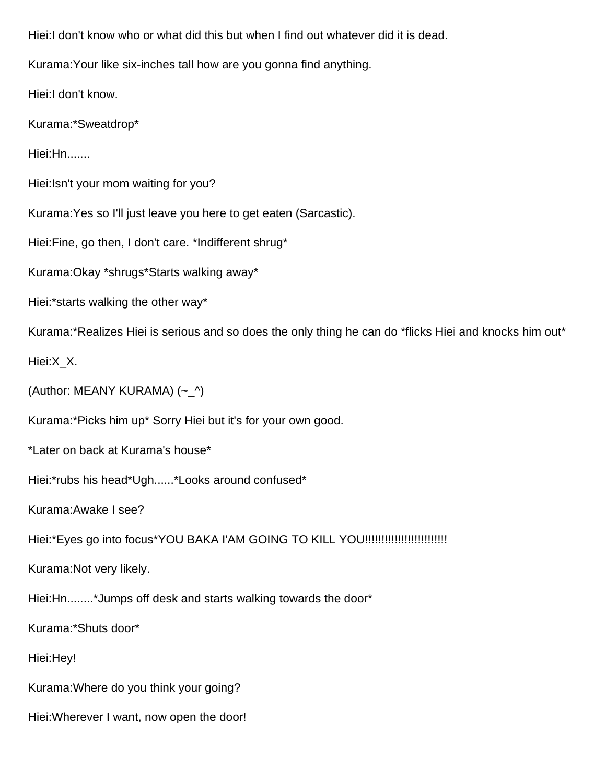Hiei:I don't know who or what did this but when I find out whatever did it is dead. Kurama:Your like six-inches tall how are you gonna find anything. Hiei:I don't know. Kurama:\*Sweatdrop\* Hiei:Hn....... Hiei:Isn't your mom waiting for you? Kurama:Yes so I'll just leave you here to get eaten (Sarcastic). Hiei:Fine, go then, I don't care. \*Indifferent shrug\* Kurama:Okay \*shrugs\*Starts walking away\* Hiei:\*starts walking the other way\* Kurama:\*Realizes Hiei is serious and so does the only thing he can do \*flicks Hiei and knocks him out\* Hiei:X\_X. (Author: MEANY KURAMA) (~\_^) Kurama:\*Picks him up\* Sorry Hiei but it's for your own good. \*Later on back at Kurama's house\* Hiei:\*rubs his head\*Ugh......\*Looks around confused\* Kurama:Awake I see? Hiei:\*Eyes go into focus\*YOU BAKA I'AM GOING TO KILL YOU!!!!!!!!!!!!!!!!!!!!!!!!! Kurama:Not very likely. Hiei:Hn........\*Jumps off desk and starts walking towards the door\* Kurama:\*Shuts door\* Hiei:Hey! Kurama:Where do you think your going? Hiei:Wherever I want, now open the door!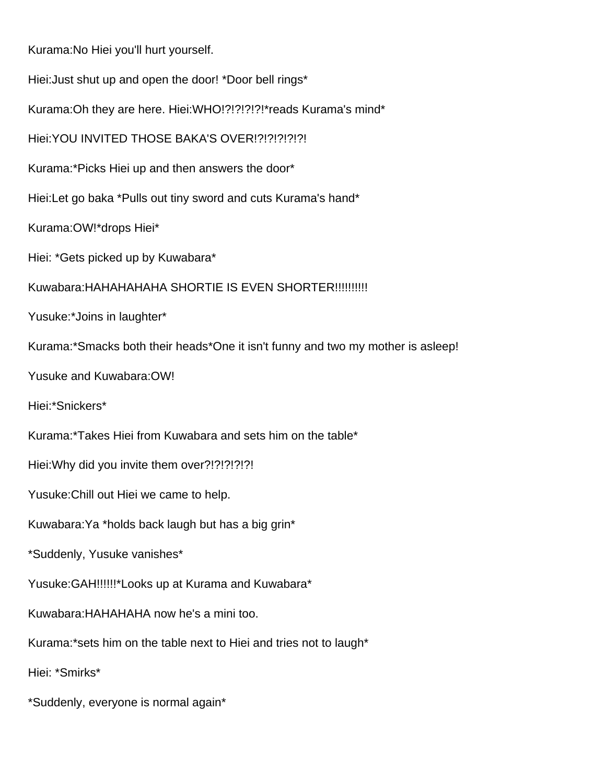Kurama:No Hiei you'll hurt yourself. Hiei:Just shut up and open the door! \*Door bell rings\* Kurama:Oh they are here. Hiei:WHO!?!?!?!?!\*reads Kurama's mind\* Hiei:YOU INVITED THOSE BAKA'S OVER!?!?!?!?!?! Kurama:\*Picks Hiei up and then answers the door\* Hiei:Let go baka \*Pulls out tiny sword and cuts Kurama's hand\* Kurama:OW!\*drops Hiei\* Hiei: \*Gets picked up by Kuwabara\* Kuwabara:HAHAHAHAHA SHORTIE IS EVEN SHORTER!!!!!!!!!! Yusuke:\*Joins in laughter\* Kurama:\*Smacks both their heads\*One it isn't funny and two my mother is asleep! Yusuke and Kuwabara:OW! Hiei:\*Snickers\* Kurama:\*Takes Hiei from Kuwabara and sets him on the table\* Hiei:Why did you invite them over?!?!?!?!?! Yusuke:Chill out Hiei we came to help. Kuwabara:Ya \*holds back laugh but has a big grin\* \*Suddenly, Yusuke vanishes\* Yusuke:GAH!!!!!!\*Looks up at Kurama and Kuwabara\* Kuwabara:HAHAHAHA now he's a mini too. Kurama:\*sets him on the table next to Hiei and tries not to laugh\* Hiei: \*Smirks\* \*Suddenly, everyone is normal again\*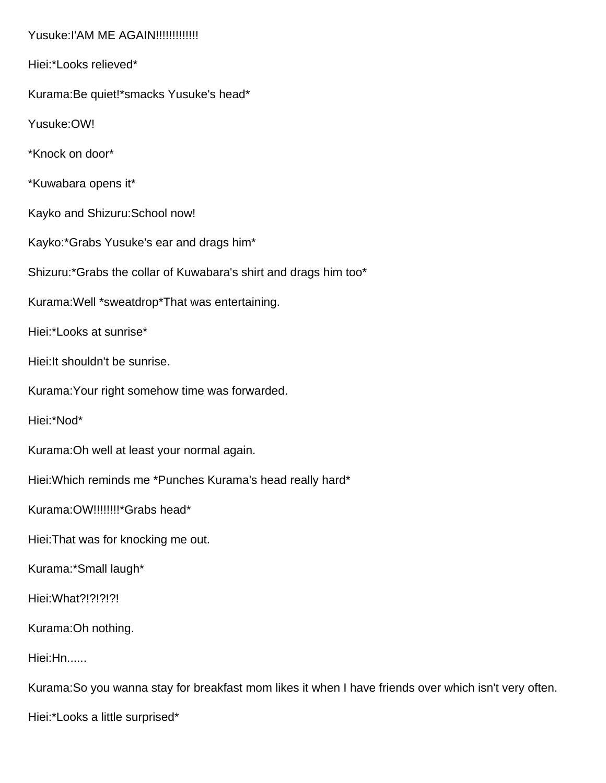Yusuke:I'AM ME AGAIN!!!!!!!!!!!!!! Hiei:\*Looks relieved\* Kurama:Be quiet!\*smacks Yusuke's head\* Yusuke:OW! \*Knock on door\* \*Kuwabara opens it\* Kayko and Shizuru:School now! Kayko:\*Grabs Yusuke's ear and drags him\* Shizuru:\*Grabs the collar of Kuwabara's shirt and drags him too\* Kurama:Well \*sweatdrop\*That was entertaining. Hiei:\*Looks at sunrise\* Hiei:It shouldn't be sunrise. Kurama:Your right somehow time was forwarded. Hiei:\*Nod\* Kurama:Oh well at least your normal again. Hiei:Which reminds me \*Punches Kurama's head really hard\* Kurama:OW!!!!!!!!\*Grabs head\* Hiei:That was for knocking me out. Kurama:\*Small laugh\* Hiei: What?!?!?!?! Kurama:Oh nothing. Hiei:Hn...... Kurama:So you wanna stay for breakfast mom likes it when I have friends over which isn't very often. Hiei:\*Looks a little surprised\*